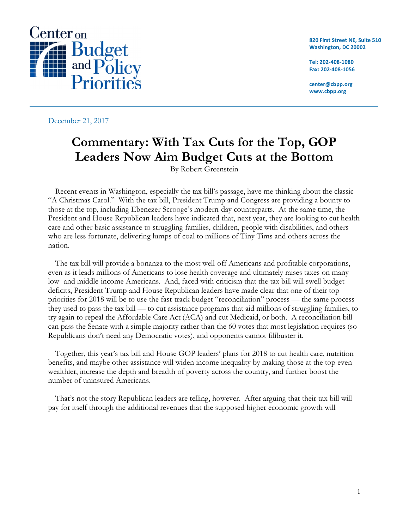

**820 First Street NE, Suite 510 Washington, DC 20002**

**Tel: 202-408-1080 Fax: 202-408-1056**

**center@cbpp.org www.cbpp.org**

December 21, 2017

# **Commentary: With Tax Cuts for the Top, GOP Leaders Now Aim Budget Cuts at the Bottom**

By Robert Greenstein

Recent events in Washington, especially the tax bill's passage, have me thinking about the classic "A Christmas Carol." With the tax bill, President Trump and Congress are providing a bounty to those at the top, including Ebenezer Scrooge's modern-day counterparts. At the same time, the President and House Republican leaders have indicated that, next year, they are looking to cut health care and other basic assistance to struggling families, children, people with disabilities, and others who are less fortunate, delivering lumps of coal to millions of Tiny Tims and others across the nation.

The tax bill will provide a bonanza to the most well-off Americans and profitable corporations, even as it leads millions of Americans to lose health coverage and ultimately raises taxes on many low- and middle-income Americans. And, faced with criticism that the tax bill will swell budget deficits, President Trump and House Republican leaders have made clear that one of their top priorities for 2018 will be to use the fast-track budget "reconciliation" process — the same process they used to pass the tax bill — to cut assistance programs that aid millions of struggling families, to try again to repeal the Affordable Care Act (ACA) and cut Medicaid, or both. A reconciliation bill can pass the Senate with a simple majority rather than the 60 votes that most legislation requires (so Republicans don't need any Democratic votes), and opponents cannot filibuster it.

Together, this year's tax bill and House GOP leaders' plans for 2018 to cut health care, nutrition benefits, and maybe other assistance will widen income inequality by making those at the top even wealthier, increase the depth and breadth of poverty across the country, and further boost the number of uninsured Americans.

That's not the story Republican leaders are telling, however. After arguing that their tax bill will pay for itself through the additional revenues that the supposed higher economic growth will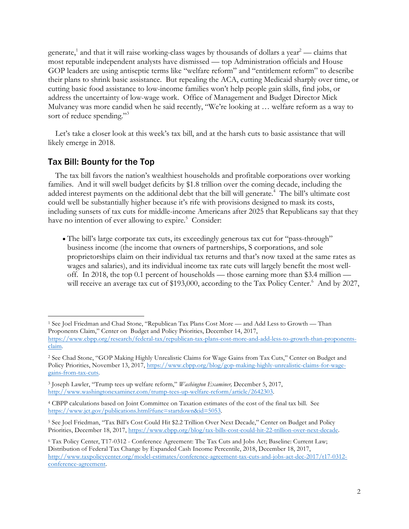generate,<sup>1</sup> and that it will raise working-class wages by thousands of dollars a year<sup>2</sup> — claims that most reputable independent analysts have dismissed — top Administration officials and House GOP leaders are using antiseptic terms like "welfare reform" and "entitlement reform" to describe their plans to shrink basic assistance. But repealing the ACA, cutting Medicaid sharply over time, or cutting basic food assistance to low-income families won't help people gain skills, find jobs, or address the uncertainty of low-wage work. Office of Management and Budget Director Mick Mulvaney was more candid when he said recently, "We're looking at … welfare reform as a way to sort of reduce spending."<sup>3</sup>

Let's take a closer look at this week's tax bill, and at the harsh cuts to basic assistance that will likely emerge in 2018.

## Tax Bill: Bounty for the Top

<u> 1989 - Johann Barn, mars ann an t-Amhain an t-Amhain an t-Amhain an t-Amhain an t-Amhain an t-Amhain an t-Amh</u>

The tax bill favors the nation's wealthiest households and profitable corporations over working families. And it will swell budget deficits by \$1.8 trillion over the coming decade, including the added interest payments on the additional debt that the bill will generate. <sup>4</sup> The bill's ultimate cost could well be substantially higher because it's rife with provisions designed to mask its costs, including sunsets of tax cuts for middle-income Americans after 2025 that Republicans say that they have no intention of ever allowing to expire.<sup>5</sup> Consider:

• The bill's large corporate tax cuts, its exceedingly generous tax cut for "pass-through" business income (the income that owners of partnerships, S corporations, and sole proprietorships claim on their individual tax returns and that's now taxed at the same rates as wages and salaries), and its individual income tax rate cuts will largely benefit the most welloff. In 2018, the top 0.1 percent of households — those earning more than \$3.4 million will receive an average tax cut of \$193,000, according to the Tax Policy Center.<sup>6</sup> And by 2027,

<sup>1</sup> See Joel Friedman and Chad Stone, "Republican Tax Plans Cost More — and Add Less to Growth — Than Proponents Claim," Center on Budget and Policy Priorities, December 14, 2017,

https://www.cbpp.org/research/federal-tax/republican-tax-plans-cost-more-and-add-less-to-growth-than-proponentsclaim.

<sup>2</sup> See Chad Stone, "GOP Making Highly Unrealistic Claims for Wage Gains from Tax Cuts," Center on Budget and Policy Priorities, November 13, 2017, https://www.cbpp.org/blog/gop-making-highly-unrealistic-claims-for-wagegains-from-tax-cuts.

<sup>3</sup> Joseph Lawler, "Trump tees up welfare reform," *Washington Examiner,* December 5, 2017, http://www.washingtonexaminer.com/trump-tees-up-welfare-reform/article/2642303.

<sup>4</sup> CBPP calculations based on Joint Committee on Taxation estimates of the cost of the final tax bill. See https://www.jct.gov/publications.html?func=startdown&id=5053.

<sup>5</sup> See Joel Friedman, "Tax Bill's Cost Could Hit \$2.2 Trillion Over Next Decade," Center on Budget and Policy Priorities, December 18, 2017, https://www.cbpp.org/blog/tax-bills-cost-could-hit-22-trillion-over-next-decade.

<sup>6</sup> Tax Policy Center, T17-0312 - Conference Agreement: The Tax Cuts and Jobs Act; Baseline: Current Law; Distribution of Federal Tax Change by Expanded Cash Income Percentile, 2018, December 18, 2017, http://www.taxpolicycenter.org/model-estimates/conference-agreement-tax-cuts-and-jobs-act-dec-2017/t17-0312 conference-agreement.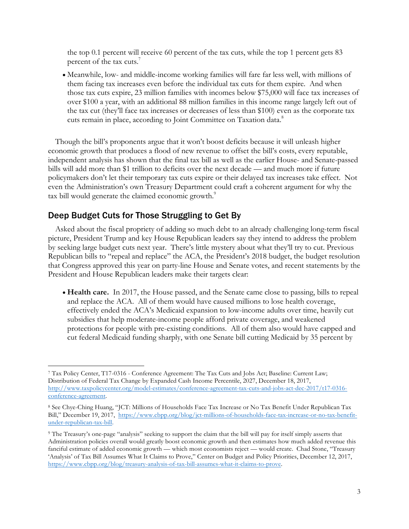the top 0.1 percent will receive 60 percent of the tax cuts, while the top 1 percent gets 83 percent of the tax cuts. 7

• Meanwhile, low- and middle-income working families will fare far less well, with millions of them facing tax increases even before the individual tax cuts for them expire. And when those tax cuts expire, 23 million families with incomes below \$75,000 will face tax increases of over \$100 a year, with an additional 88 million families in this income range largely left out of the tax cut (they'll face tax increases or decreases of less than \$100) even as the corporate tax cuts remain in place, according to Joint Committee on Taxation data.<sup>8</sup>

Though the bill's proponents argue that it won't boost deficits because it will unleash higher economic growth that produces a flood of new revenue to offset the bill's costs, every reputable, independent analysis has shown that the final tax bill as well as the earlier House- and Senate-passed bills will add more than \$1 trillion to deficits over the next decade — and much more if future policymakers don't let their temporary tax cuts expire or their delayed tax increases take effect. Not even the Administration's own Treasury Department could craft a coherent argument for why the tax bill would generate the claimed economic growth.<sup>9</sup>

### Deep Budget Cuts for Those Struggling to Get By

<u> 1989 - Johann Barn, mars ann an t-Amhain an t-Amhain an t-Amhain an t-Amhain an t-Amhain an t-Amhain an t-Amh</u>

Asked about the fiscal propriety of adding so much debt to an already challenging long-term fiscal picture, President Trump and key House Republican leaders say they intend to address the problem by seeking large budget cuts next year. There's little mystery about what they'll try to cut. Previous Republican bills to "repeal and replace" the ACA, the President's 2018 budget, the budget resolution that Congress approved this year on party-line House and Senate votes, and recent statements by the President and House Republican leaders make their targets clear:

• **Health care.** In 2017, the House passed, and the Senate came close to passing, bills to repeal and replace the ACA. All of them would have caused millions to lose health coverage, effectively ended the ACA's Medicaid expansion to low-income adults over time, heavily cut subsidies that help moderate-income people afford private coverage, and weakened protections for people with pre-existing conditions. All of them also would have capped and cut federal Medicaid funding sharply, with one Senate bill cutting Medicaid by 35 percent by

<sup>7</sup> Tax Policy Center, T17-0316 - Conference Agreement: The Tax Cuts and Jobs Act; Baseline: Current Law; Distribution of Federal Tax Change by Expanded Cash Income Percentile, 2027, December 18, 2017, http://www.taxpolicycenter.org/model-estimates/conference-agreement-tax-cuts-and-jobs-act-dec-2017/t17-0316 conference-agreement.

<sup>8</sup> See Chye-Ching Huang, "JCT: Millions of Households Face Tax Increase or No Tax Benefit Under Republican Tax Bill," December 19, 2017, https://www.cbpp.org/blog/jct-millions-of-households-face-tax-increase-or-no-tax-benefitunder-republican-tax-bill.

<sup>9</sup> The Treasury's one-page "analysis" seeking to support the claim that the bill will pay for itself simply asserts that Administration policies overall would greatly boost economic growth and then estimates how much added revenue this fanciful estimate of added economic growth — which most economists reject — would create. Chad Stone, "Treasury 'Analysis' of Tax Bill Assumes What It Claims to Prove," Center on Budget and Policy Priorities, December 12, 2017, https://www.cbpp.org/blog/treasury-analysis-of-tax-bill-assumes-what-it-claims-to-prove.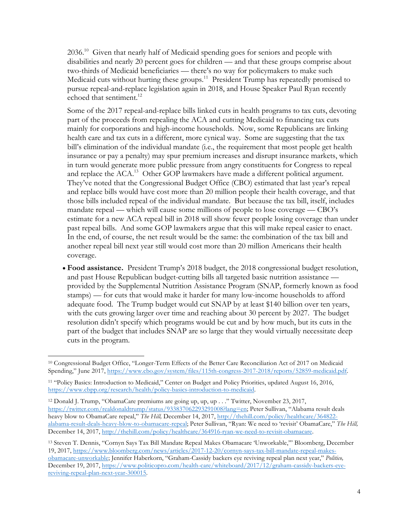2036.10 Given that nearly half of Medicaid spending goes for seniors and people with disabilities and nearly 20 percent goes for children — and that these groups comprise about two-thirds of Medicaid beneficiaries — there's no way for policymakers to make such Medicaid cuts without hurting these groups.<sup>11</sup> President Trump has repeatedly promised to pursue repeal-and-replace legislation again in 2018, and House Speaker Paul Ryan recently echoed that sentiment.<sup>12</sup>

Some of the 2017 repeal-and-replace bills linked cuts in health programs to tax cuts, devoting part of the proceeds from repealing the ACA and cutting Medicaid to financing tax cuts mainly for corporations and high-income households. Now, some Republicans are linking health care and tax cuts in a different, more cynical way. Some are suggesting that the tax bill's elimination of the individual mandate (i.e., the requirement that most people get health insurance or pay a penalty) may spur premium increases and disrupt insurance markets, which in turn would generate more public pressure from angry constituents for Congress to repeal and replace the ACA.<sup>13</sup> Other GOP lawmakers have made a different political argument. They've noted that the Congressional Budget Office (CBO) estimated that last year's repeal and replace bills would have cost more than 20 million people their health coverage, and that those bills included repeal of the individual mandate. But because the tax bill, itself, includes mandate repeal — which will cause some millions of people to lose coverage — CBO's estimate for a new ACA repeal bill in 2018 will show fewer people losing coverage than under past repeal bills. And some GOP lawmakers argue that this will make repeal easier to enact. In the end, of course, the net result would be the same: the combination of the tax bill and another repeal bill next year still would cost more than 20 million Americans their health coverage.

• **Food assistance.** President Trump's 2018 budget, the 2018 congressional budget resolution, and past House Republican budget-cutting bills all targeted basic nutrition assistance provided by the Supplemental Nutrition Assistance Program (SNAP, formerly known as food stamps) — for cuts that would make it harder for many low-income households to afford adequate food. The Trump budget would cut SNAP by at least \$140 billion over ten years, with the cuts growing larger over time and reaching about 30 percent by 2027. The budget resolution didn't specify which programs would be cut and by how much, but its cuts in the part of the budget that includes SNAP are so large that they would virtually necessitate deep cuts in the program.

 

<sup>10</sup> Congressional Budget Office, "Longer-Term Effects of the Better Care Reconciliation Act of 2017 on Medicaid Spending," June 2017, https://www.cbo.gov/system/files/115th-congress-2017-2018/reports/52859-medicaid.pdf.

<sup>11</sup> "Policy Basics: Introduction to Medicaid," Center on Budget and Policy Priorities, updated August 16, 2016, https://www.cbpp.org/research/health/policy-basics-introduction-to-medicaid.

<sup>12</sup> Donald J. Trump, "ObamaCare premiums are going up, up, up . . ." Twitter, November 23, 2017, https://twitter.com/realdonaldtrump/status/933837062293291008?lang=en; Peter Sullivan, "Alabama result deals heavy blow to ObamaCare repeal," *The Hill, December 14, 2017*, http://thehill.com/policy/healthcare/364822alabama-result-deals-heavy-blow-to-obamacare-repeal; Peter Sullivan, "Ryan: We need to 'revisit' ObamaCare," *The Hill,* December 14, 2017, http://thehill.com/policy/healthcare/364916-ryan-we-need-to-revisit-obamacare.

<sup>13</sup> Steven T. Dennis, "Cornyn Says Tax Bill Mandate Repeal Makes Obamacare 'Unworkable,'" Bloomberg, December 19, 2017, https://www.bloomberg.com/news/articles/2017-12-20/cornyn-says-tax-bill-mandate-repeal-makesobamacare-unworkable; Jennifer Haberkorn, "Graham-Cassidy backers eye reviving repeal plan next year," *Politico,* December 19, 2017, https://www.politicopro.com/health-care/whiteboard/2017/12/graham-cassidy-backers-eyereviving-repeal-plan-next-year-300015.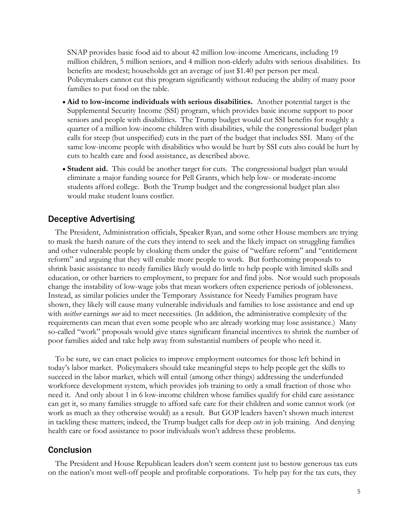SNAP provides basic food aid to about 42 million low-income Americans, including 19 million children, 5 million seniors, and 4 million non-elderly adults with serious disabilities. Its benefits are modest; households get an average of just \$1.40 per person per meal. Policymakers cannot cut this program significantly without reducing the ability of many poor families to put food on the table.

- **Aid to low-income individuals with serious disabilities.** Another potential target is the Supplemental Security Income (SSI) program, which provides basic income support to poor seniors and people with disabilities. The Trump budget would cut SSI benefits for roughly a quarter of a million low-income children with disabilities, while the congressional budget plan calls for steep (but unspecified) cuts in the part of the budget that includes SSI. Many of the same low-income people with disabilities who would be hurt by SSI cuts also could be hurt by cuts to health care and food assistance, as described above.
- **Student aid.** This could be another target for cuts. The congressional budget plan would eliminate a major funding source for Pell Grants, which help low- or moderate-income students afford college. Both the Trump budget and the congressional budget plan also would make student loans costlier.

#### Deceptive Advertising

The President, Administration officials, Speaker Ryan, and some other House members are trying to mask the harsh nature of the cuts they intend to seek and the likely impact on struggling families and other vulnerable people by cloaking them under the guise of "welfare reform" and "entitlement reform" and arguing that they will enable more people to work. But forthcoming proposals to shrink basic assistance to needy families likely would do little to help people with limited skills and education, or other barriers to employment, to prepare for and find jobs. Nor would such proposals change the instability of low-wage jobs that mean workers often experience periods of joblessness. Instead, as similar policies under the Temporary Assistance for Needy Families program have shown, they likely will cause many vulnerable individuals and families to lose assistance and end up with *neither* earnings *nor* aid to meet necessities. (In addition, the administrative complexity of the requirements can mean that even some people who are already working may lose assistance.) Many so-called "work" proposals would give states significant financial incentives to shrink the number of poor families aided and take help away from substantial numbers of people who need it.

To be sure, we can enact policies to improve employment outcomes for those left behind in today's labor market. Policymakers should take meaningful steps to help people get the skills to succeed in the labor market, which will entail (among other things) addressing the underfunded workforce development system, which provides job training to only a small fraction of those who need it. And only about 1 in 6 low-income children whose families qualify for child care assistance can get it, so many families struggle to afford safe care for their children and some cannot work (or work as much as they otherwise would) as a result. But GOP leaders haven't shown much interest in tackling these matters; indeed, the Trump budget calls for deep *cuts* in job training. And denying health care or food assistance to poor individuals won't address these problems.

#### Conclusion

The President and House Republican leaders don't seem content just to bestow generous tax cuts on the nation's most well-off people and profitable corporations. To help pay for the tax cuts, they